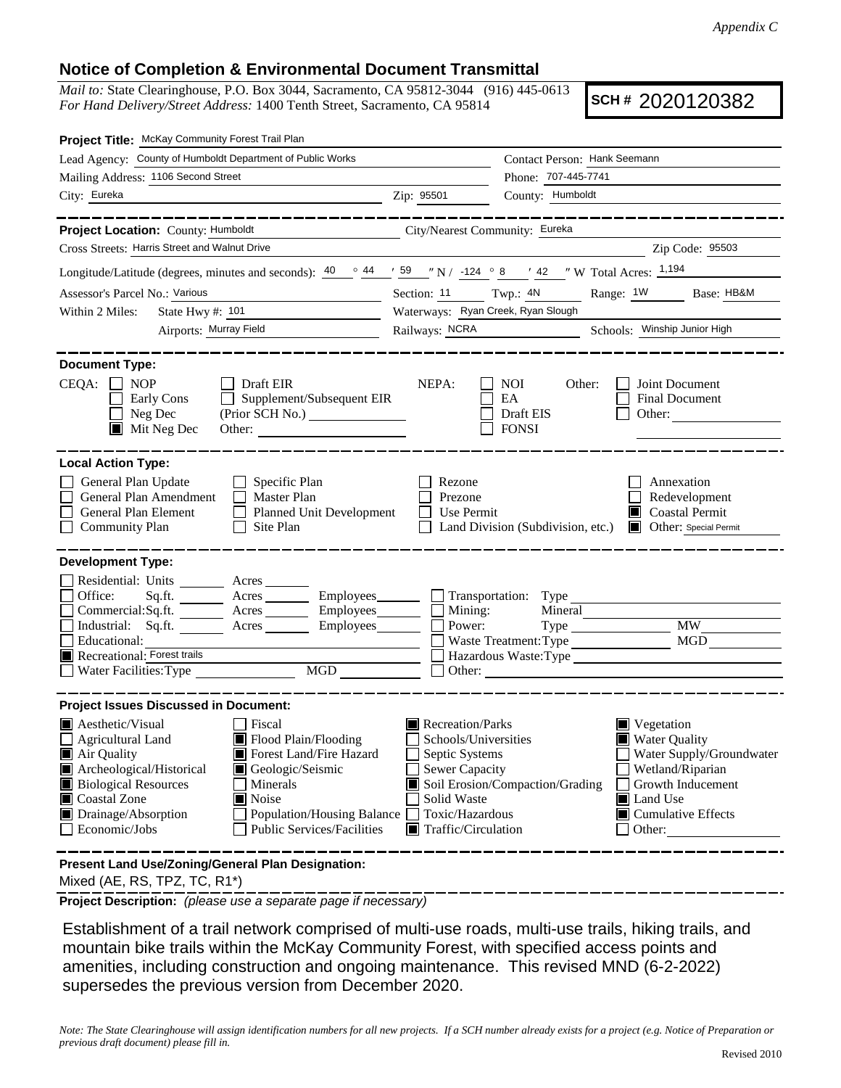## **Notice of Completion & Environmental Document Transmittal**

*Mail to:* State Clearinghouse, P.O. Box 3044, Sacramento, CA 95812-3044 (916) 445-0613 *For Hand Delivery/Street Address:* 1400 Tenth Street, Sacramento, CA 95814

**SCH #** 2020120382

| Project Title: McKay Community Forest Trail Plan                                                                                                                                                                                                                                                                                                                                                                         |                                                                                                                                                      |                                                                                                                                                                                                       |
|--------------------------------------------------------------------------------------------------------------------------------------------------------------------------------------------------------------------------------------------------------------------------------------------------------------------------------------------------------------------------------------------------------------------------|------------------------------------------------------------------------------------------------------------------------------------------------------|-------------------------------------------------------------------------------------------------------------------------------------------------------------------------------------------------------|
| Lead Agency: County of Humboldt Department of Public Works                                                                                                                                                                                                                                                                                                                                                               |                                                                                                                                                      | Contact Person: Hank Seemann                                                                                                                                                                          |
| Mailing Address: 1106 Second Street                                                                                                                                                                                                                                                                                                                                                                                      |                                                                                                                                                      | Phone: 707-445-7741                                                                                                                                                                                   |
| City: Eureka<br><u> 1989 - Johann Stoff, Amerikaansk politiker († 1908)</u>                                                                                                                                                                                                                                                                                                                                              | Zip: 95501                                                                                                                                           | County: Humboldt                                                                                                                                                                                      |
| . __ __ __ __ __ __ __ __                                                                                                                                                                                                                                                                                                                                                                                                |                                                                                                                                                      | _________________                                                                                                                                                                                     |
| Project Location: County: Humboldt                                                                                                                                                                                                                                                                                                                                                                                       | City/Nearest Community: Eureka                                                                                                                       |                                                                                                                                                                                                       |
| Cross Streets: Harris Street and Walnut Drive                                                                                                                                                                                                                                                                                                                                                                            |                                                                                                                                                      | Zip Code: 95503                                                                                                                                                                                       |
| Longitude/Latitude (degrees, minutes and seconds): $\frac{40}{9}$ $\frac{44}{159}$ $\frac{159}{124}$ $\frac{124}{98}$ $\frac{8}{142}$ $\frac{142}{124}$ $\frac{1194}{124}$                                                                                                                                                                                                                                               |                                                                                                                                                      |                                                                                                                                                                                                       |
| Assessor's Parcel No.: Various                                                                                                                                                                                                                                                                                                                                                                                           |                                                                                                                                                      | Section: 11 Twp.: 4N Range: 1W Base: HB&M                                                                                                                                                             |
| State Hwy #: 101<br>Within 2 Miles:                                                                                                                                                                                                                                                                                                                                                                                      | Waterways: Ryan Creek, Ryan Slough                                                                                                                   |                                                                                                                                                                                                       |
| Airports: Murray Field                                                                                                                                                                                                                                                                                                                                                                                                   |                                                                                                                                                      | Railways: NCRA Schools: Winship Junior High                                                                                                                                                           |
| <b>Document Type:</b><br>$CEQA: \Box$<br><b>NOP</b><br>$\Box$ Draft EIR<br>$\Box$<br>Supplement/Subsequent EIR<br>Early Cons<br>Neg Dec<br>$\blacksquare$<br>$\blacksquare$ Mit Neg Dec<br>Other:                                                                                                                                                                                                                        | NEPA:                                                                                                                                                | Joint Document<br><b>NOI</b><br>Other:<br>EA<br>Final Document<br>Draft EIS<br>Other: $\qquad \qquad$<br><b>FONSI</b>                                                                                 |
| <b>Local Action Type:</b><br>General Plan Update<br>$\Box$ Specific Plan<br>General Plan Amendment<br>$\Box$ Master Plan<br>General Plan Element<br>Planned Unit Development<br><b>Community Plan</b><br>$\Box$ Site Plan                                                                                                                                                                                                | Rezone<br>Prezone<br>Use Permit                                                                                                                      | Annexation<br>Redevelopment<br><b>Coastal Permit</b><br>Land Division (Subdivision, etc.) <b>I</b> Other: Special Permit                                                                              |
| <b>Development Type:</b><br>Residential: Units ________ Acres _______<br>Sq.ft. ________ Acres _________ Employees _______ __ Transportation: Type _______<br>Office:<br>Commercial:Sq.ft. ________ Acres __________ Employees_________ $\Box$<br>Industrial: Sq.ft.<br>Acres <u>__________</u> Employees ________<br>Educational:<br>Recreational: Forest trails<br>Water Facilities: Type MGD MGD                      | Mining:<br>Power:                                                                                                                                    | <b>MW</b><br>$Type \_$<br><b>MGD</b><br>Waste Treatment: Type<br>Hazardous Waste:Type<br>$\Box$ Other:                                                                                                |
| <b>Project Issues Discussed in Document:</b><br><b>A</b> esthetic/Visual<br><b>T</b> Fiscal<br>Flood Plain/Flooding<br>Agricultural Land<br>Forest Land/Fire Hazard<br>Air Quality<br>Archeological/Historical<br>Geologic/Seismic<br><b>Biological Resources</b><br>Minerals<br>Noise<br>Coastal Zone<br>Drainage/Absorption<br><b>Population/Housing Balance</b><br>Economic/Jobs<br><b>Public Services/Facilities</b> | Recreation/Parks<br>Schools/Universities<br>Septic Systems<br>Sewer Capacity<br>Solid Waste<br>Toxic/Hazardous<br>$\blacksquare$ Traffic/Circulation | Vegetation<br><b>Water Quality</b><br>Water Supply/Groundwater<br>Wetland/Riparian<br>Soil Erosion/Compaction/Grading<br>Growth Inducement<br>Land Use<br>$\blacksquare$ Cumulative Effects<br>Other: |
| Present Land Use/Zoning/General Plan Designation:                                                                                                                                                                                                                                                                                                                                                                        |                                                                                                                                                      |                                                                                                                                                                                                       |

Mixed (AE, RS, TPZ, TC, R1\*)

**Project Description:** *(please use a separate page if necessary)*

 Establishment of a trail network comprised of multi-use roads, multi-use trails, hiking trails, and mountain bike trails within the McKay Community Forest, with specified access points and amenities, including construction and ongoing maintenance. This revised MND (6-2-2022) supersedes the previous version from December 2020.

*Note: The State Clearinghouse will assign identification numbers for all new projects. If a SCH number already exists for a project (e.g. Notice of Preparation or previous draft document) please fill in.*